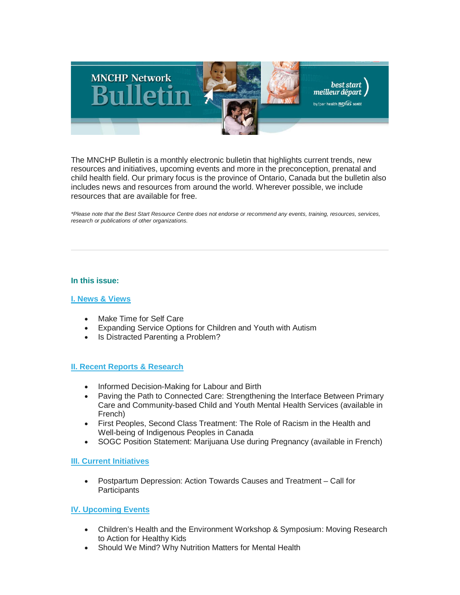

The MNCHP Bulletin is a monthly electronic bulletin that highlights current trends, new resources and initiatives, upcoming events and more in the preconception, prenatal and child health field. Our primary focus is the province of Ontario, Canada but the bulletin also includes news and resources from around the world. Wherever possible, we include resources that are available for free.

*\*Please note that the Best Start Resource Centre does not endorse or recommend any events, training, resources, services, research or publications of other organizations.*

### **In this issue:**

### **[I. News & Views](#page-1-0)**

- Make Time for Self Care
- Expanding Service Options for Children and Youth with Autism
- Is Distracted Parenting a Problem?

### **[II. Recent Reports & Research](#page-2-0)**

- Informed Decision-Making for Labour and Birth
- Paving the Path to Connected Care: Strengthening the Interface Between Primary Care and Community-based Child and Youth Mental Health Services (available in French)
- First Peoples, Second Class Treatment: The Role of Racism in the Health and Well-being of Indigenous Peoples in Canada
- SOGC Position Statement: Marijuana Use during Pregnancy (available in French)

### **[III. Current Initiatives](#page-3-0)**

• Postpartum Depression: Action Towards Causes and Treatment – Call for **Participants** 

### **[IV. Upcoming Events](#page-3-1)**

- Children's Health and the Environment Workshop & Symposium: Moving Research to Action for Healthy Kids
- Should We Mind? Why Nutrition Matters for Mental Health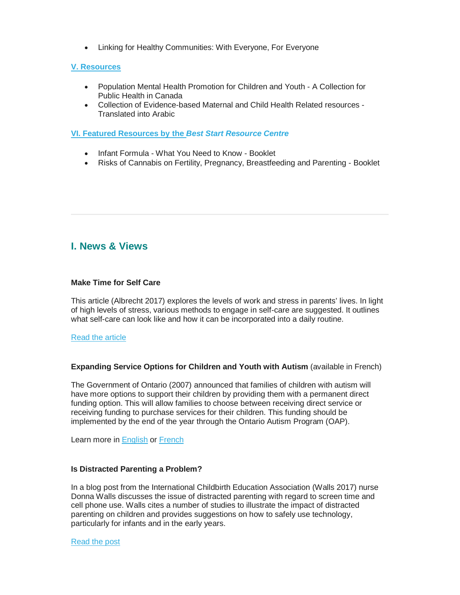• Linking for Healthy Communities: With Everyone, For Everyone

### **[V. Resources](#page-4-0)**

- Population Mental Health Promotion for Children and Youth A Collection for Public Health in Canada
- Collection of Evidence-based Maternal and Child Health Related resources Translated into Arabic

**[VI. Featured Resources by the](#page-5-0)** *Best Start Resource Centre*

- Infant Formula What You Need to Know Booklet
- Risks of Cannabis on Fertility, Pregnancy, Breastfeeding and Parenting Booklet

# <span id="page-1-0"></span>**I. News & Views**

### **Make Time for Self Care**

This article (Albrecht 2017) explores the levels of work and stress in parents' lives. In light of high levels of stress, various methods to engage in self-care are suggested. It outlines what self-care can look like and how it can be incorporated into a daily routine.

### [Read the article](https://www.bccf.ca/bccf/blog/making-time-for-self-care/)

### **Expanding Service Options for Children and Youth with Autism** (available in French)

The Government of Ontario (2007) announced that families of children with autism will have more options to support their children by providing them with a permanent direct funding option. This will allow families to choose between receiving direct service or receiving funding to purchase services for their children. This funding should be implemented by the end of the year through the Ontario Autism Program (OAP).

Learn more in [English](https://news.ontario.ca/mcys/en/2017/05/expanding-service-options-for-children-and-youth-with-autism.html?utm_source=ondemand&utm_medium=email&utm_campaign=p) or [French](https://news.ontario.ca/mcys/fr/2017/05/de-nouvelles-options-de-services-pour-les-enfants-et-les-jeunes-autistes.html)

### **Is Distracted Parenting a Problem?**

In a blog post from the International Childbirth Education Association (Walls 2017) nurse Donna Walls discusses the issue of distracted parenting with regard to screen time and cell phone use. Walls cites a number of studies to illustrate the impact of distracted parenting on children and provides suggestions on how to safely use technology, particularly for infants and in the early years.

### [Read the post](https://birthperspectives.com/2017/04/20/is-distracted-parenting-a-problem/)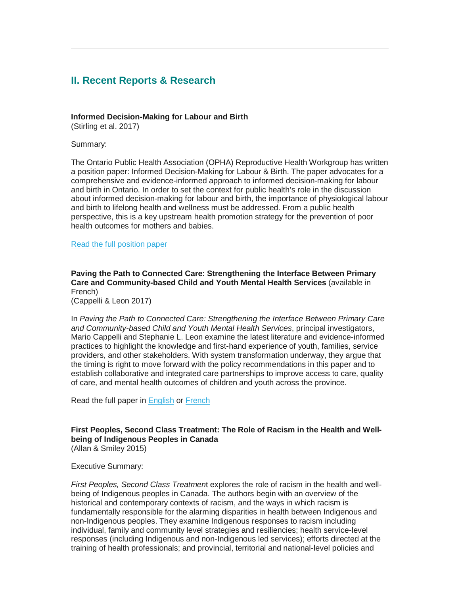# <span id="page-2-0"></span>**II. Recent Reports & Research**

### **Informed Decision-Making for Labour and Birth**

(Stirling et al. 2017)

### Summary:

The Ontario Public Health Association (OPHA) Reproductive Health Workgroup has written a position paper: Informed Decision-Making for Labour & Birth. The paper advocates for a comprehensive and evidence-informed approach to informed decision-making for labour and birth in Ontario. In order to set the context for public health's role in the discussion about informed decision-making for labour and birth, the importance of physiological labour and birth to lifelong health and wellness must be addressed. From a public health perspective, this is a key upstream health promotion strategy for the prevention of poor health outcomes for mothers and babies.

### [Read the full position paper](http://opha.on.ca/getmedia/9657686e-55ee-4222-aaea-3738248a3d9e/Informed-Decision-Making-for-Labour-and-Birth-position-paper-updated-051117.pdf.aspx)

**Paving the Path to Connected Care: Strengthening the Interface Between Primary Care and Community-based Child and Youth Mental Health Services** (available in French)

(Cappelli & Leon 2017)

In *Paving the Path to Connected Care: Strengthening the Interface Between Primary Care and Community-based Child and Youth Mental Health Services*, principal investigators, Mario Cappelli and Stephanie L. Leon examine the latest literature and evidence-informed practices to highlight the knowledge and first-hand experience of youth, families, service providers, and other stakeholders. With system transformation underway, they argue that the timing is right to move forward with the policy recommendations in this paper and to establish collaborative and integrated care partnerships to improve access to care, quality of care, and mental health outcomes of children and youth across the province.

Read the full paper in **[English](http://www.excellenceforchildandyouth.ca/blog/paving-path-connected-care) or [French](http://www.excellencepourenfantsados.ca/blog/ouvrir-la-voie-aux-soins-connectes)** 

### **First Peoples, Second Class Treatment: The Role of Racism in the Health and Wellbeing of Indigenous Peoples in Canada** (Allan & Smiley 2015)

# Executive Summary:

*First Peoples, Second Class Treatmen*t explores the role of racism in the health and wellbeing of Indigenous peoples in Canada. The authors begin with an overview of the historical and contemporary contexts of racism, and the ways in which racism is fundamentally responsible for the alarming disparities in health between Indigenous and non-Indigenous peoples. They examine Indigenous responses to racism including individual, family and community level strategies and resiliencies; health service-level responses (including Indigenous and non-Indigenous led services); efforts directed at the training of health professionals; and provincial, territorial and national-level policies and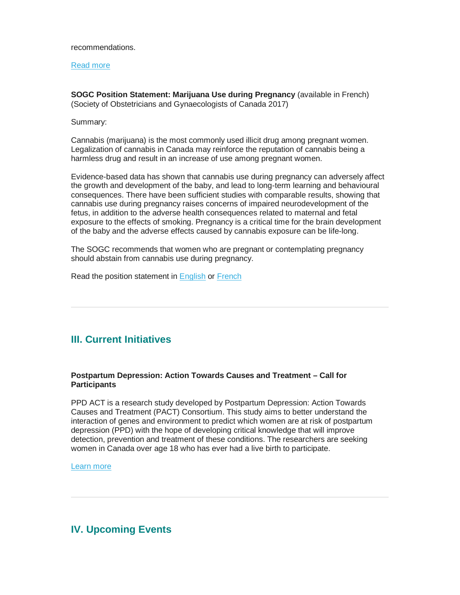#### recommendations.

#### [Read more](http://www.wellesleyinstitute.com/wp-content/uploads/2015/02/Summary-First-Peoples-Second-Class-Treatment-Final.pdf)

**SOGC Position Statement: Marijuana Use during Pregnancy** (available in French) (Society of Obstetricians and Gynaecologists of Canada 2017)

#### Summary:

Cannabis (marijuana) is the most commonly used illicit drug among pregnant women. Legalization of cannabis in Canada may reinforce the reputation of cannabis being a harmless drug and result in an increase of use among pregnant women.

Evidence-based data has shown that cannabis use during pregnancy can adversely affect the growth and development of the baby, and lead to long-term learning and behavioural consequences. There have been sufficient studies with comparable results, showing that cannabis use during pregnancy raises concerns of impaired neurodevelopment of the fetus, in addition to the adverse health consequences related to maternal and fetal exposure to the effects of smoking. Pregnancy is a critical time for the brain development of the baby and the adverse effects caused by cannabis exposure can be life-long.

The SOGC recommends that women who are pregnant or contemplating pregnancy should abstain from cannabis use during pregnancy.

Read the position statement in [English](https://sogc.org/files/letSOGCstatementCannabisUse.pdf) or [French](https://sogc.org/files/letSOGCstatementCannabisUse_FR.pdf)

# <span id="page-3-0"></span>**III. Current Initiatives**

### **Postpartum Depression: Action Towards Causes and Treatment – Call for Participants**

PPD ACT is a research study developed by Postpartum Depression: Action Towards Causes and Treatment (PACT) Consortium. This study aims to better understand the interaction of genes and environment to predict which women are at risk of postpartum depression (PPD) with the hope of developing critical knowledge that will improve detection, prevention and treatment of these conditions. The researchers are seeking women in Canada over age 18 who has ever had a live birth to participate.

### [Learn more](http://www.pactforthecure.com/)

# <span id="page-3-1"></span>**IV. Upcoming Events**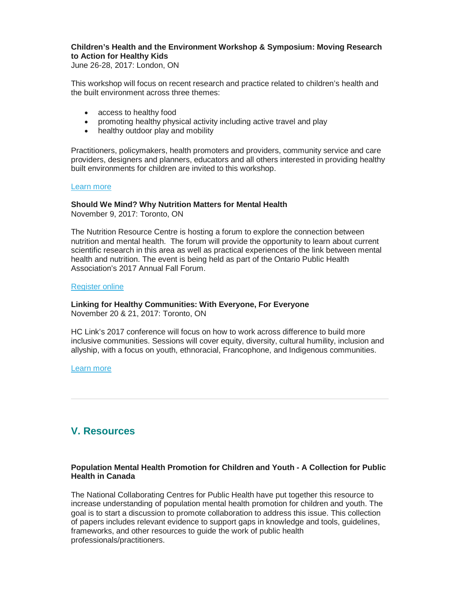### **Children's Health and the Environment Workshop & Symposium: Moving Research to Action for Healthy Kids**

June 26-28, 2017: London, ON

This workshop will focus on recent research and practice related to children's health and the built environment across three themes:

- access to healthy food
- promoting healthy physical activity including active travel and play
- healthy outdoor play and mobility

Practitioners, policymakers, health promoters and providers, community service and care providers, designers and planners, educators and all others interested in providing healthy built environments for children are invited to this workshop.

### [Learn more](http://www.theheal.ca/news_details.php?ID=132)

### **Should We Mind? Why Nutrition Matters for Mental Health**

November 9, 2017: Toronto, ON

The Nutrition Resource Centre is hosting a forum to explore the connection between nutrition and mental health. The forum will provide the opportunity to learn about current scientific research in this area as well as practical experiences of the link between mental health and nutrition. The event is being held as part of the Ontario Public Health Association's 2017 Annual Fall Forum.

### [Register online](https://nrc2017forum.sched.com/)

# **Linking for Healthy Communities: With Everyone, For Everyone**

November 20 & 21, 2017: Toronto, ON

HC Link's 2017 conference will focus on how to work across difference to build more inclusive communities. Sessions will cover equity, diversity, cultural humility, inclusion and allyship, with a focus on youth, ethnoracial, Francophone, and Indigenous communities.

[Learn more](http://hclinkontario.ca/events/conferences1.html)

# <span id="page-4-0"></span>**V. Resources**

### **Population Mental Health Promotion for Children and Youth - A Collection for Public Health in Canada**

The National Collaborating Centres for Public Health have put together this resource to increase understanding of population mental health promotion for children and youth. The goal is to start a discussion to promote collaboration to address this issue. This collection of papers includes relevant evidence to support gaps in knowledge and tools, guidelines, frameworks, and other resources to guide the work of public health professionals/practitioners.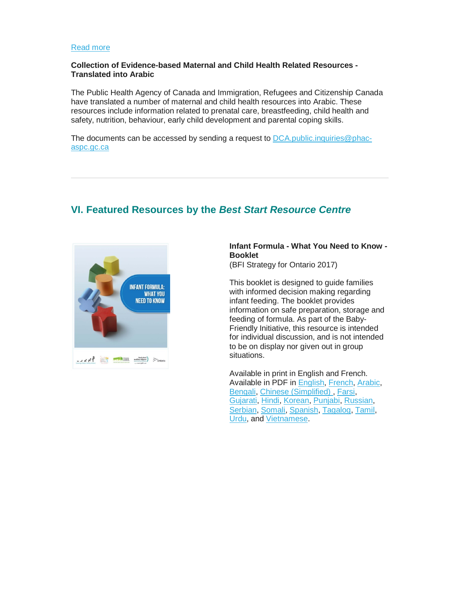### [Read more](http://nccph.ca/images/uploads/general/01_Intro_MentalHealth_NCCPH_2017_EN.pdf?pdf=Mental-health-promotion-for-children-and-youth&utm_source=newsletter&utm_medium=email&utm_campaign=PMH_01_En)

### **Collection of Evidence-based Maternal and Child Health Related Resources - Translated into Arabic**

The Public Health Agency of Canada and Immigration, Refugees and Citizenship Canada have translated a number of maternal and child health resources into Arabic. These resources include information related to prenatal care, breastfeeding, child health and safety, nutrition, behaviour, early child development and parental coping skills.

The documents can be accessed by sending a request to [DCA.public.inquiries@phac](mailto:DCA.public.inquiries@phac-aspc.gc.ca)[aspc.gc.ca](mailto:DCA.public.inquiries@phac-aspc.gc.ca)

# <span id="page-5-0"></span>**VI. Featured Resources by the** *Best Start Resource Centre*



### **Infant Formula - What You Need to Know - Booklet**

(BFI Strategy for Ontario 2017)

This booklet is designed to guide families with informed decision making regarding infant feeding. The booklet provides information on safe preparation, storage and feeding of formula. As part of the Baby-Friendly Initiative, this resource is intended for individual discussion, and is not intended to be on display nor given out in group situations.

Available in print in English and French. Available in PDF in [English,](http://www.beststart.org/resources/breastfeeding/B19/FormulaBooklet_B19-E.pdf) [French,](http://www.beststart.org/resources/breastfeeding/B19/PreparationNourrissonsLivret_B19-F.pdf) [Arabic,](http://www.beststart.org/resources/breastfeeding/B19/FormulaBookletArabic_B19-AR.pdf) [Bengali,](http://www.beststart.org/resources/breastfeeding/B19/FormulaBookletBengali_B19-BN.pdf) [Chinese \(Simplified\) ,](http://www.beststart.org/resources/breastfeeding/B19/FormulaBookletChinese_B19-CH.pdf) [Farsi,](http://www.beststart.org/resources/breastfeeding/B19/FormulaBookletFarsi_B19-FA.pdf) [Gujarati,](http://www.beststart.org/resources/breastfeeding/B19/FormulaBookletGujarati_B19-GU.pdf) [Hindi,](http://www.beststart.org/resources/breastfeeding/B19/FormulaBookletHindi_B19-HI.pdf) [Korean,](http://www.beststart.org/resources/breastfeeding/B19/FormulaBookletKorean_B19-KO.pdf) [Punjabi,](http://www.beststart.org/resources/breastfeeding/B19/FormulaBookletPunjabi_B19-PU.pdf) [Russian,](http://www.beststart.org/resources/breastfeeding/B19/FormulaBookletRussian_B19-RU.pdf) [Serbian,](http://www.beststart.org/resources/breastfeeding/B19/FormulaBookletSerbian_B19-SE.pdf) [Somali,](http://www.beststart.org/resources/breastfeeding/B19/FormulaBookletSomali_B19-SO.pdf) [Spanish,](http://www.beststart.org/resources/breastfeeding/B19/FormulaBookletSpanish_B19-SP.pdf) [Tagalog,](http://www.beststart.org/resources/breastfeeding/B19/FormulaBookletTagalog_B19-TAG.pdf) [Tamil,](http://www.beststart.org/resources/breastfeeding/B19/FormulaBookletTamil_B19-TAM.pdf) [Urdu,](http://www.beststart.org/resources/breastfeeding/B19/FormulaBookletUrdu_B19-UR.pdf) and [Vietnamese.](http://www.beststart.org/resources/breastfeeding/B19/FormulaBookletVietnamese_B19-VI.pdf)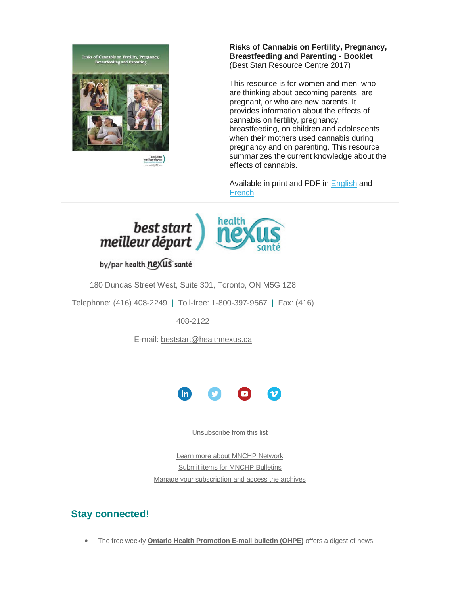

**Risks of Cannabis on Fertility, Pregnancy, Breastfeeding and Parenting - Booklet** (Best Start Resource Centre 2017)

This resource is for women and men, who are thinking about becoming parents, are pregnant, or who are new parents. It provides information about the effects of cannabis on fertility, pregnancy, breastfeeding, on children and adolescents when their mothers used cannabis during pregnancy and on parenting. This resource summarizes the current knowledge about the effects of cannabis.

Available in print and PDF in [English](http://www.beststart.org/resources/alc_reduction/RisksOfCannabis_A30-E.pdf) and [French.](http://www.beststart.org/resources/alc_reduction/LesRisquesDuCannabis_A30-F.pdf)



by/par health nexus santé

180 Dundas Street West, Suite 301, Toronto, ON M5G 1Z8

Telephone: (416) 408-2249 | Toll-free: 1-800-397-9567 | Fax: (416)

408-2122

E-mail: [beststart@healthnexus.ca](mailto:beststart@healthnexus.ca?subject=Contact%20Us)



[Unsubscribe from this list](mailto:mnchp@healthnexus.ca?subject=Unsubscribe%20from%20MNCHP%20bulletin)

[Learn more about MNCHP Network](http://lists.beststart.org/listinfo.cgi/mnchp-beststart.org) [Submit items for MNCHP Bulletins](mailto:mnchp@healthnexus.ca) [Manage your subscription and access the archives](http://lists.beststart.org/listinfo.cgi/mnchp-beststart.org)

# **Stay connected!**

• The free weekly **[Ontario Health Promotion E-mail bulletin \(OHPE\)](http://www.ohpe.ca/)** offers a digest of news,